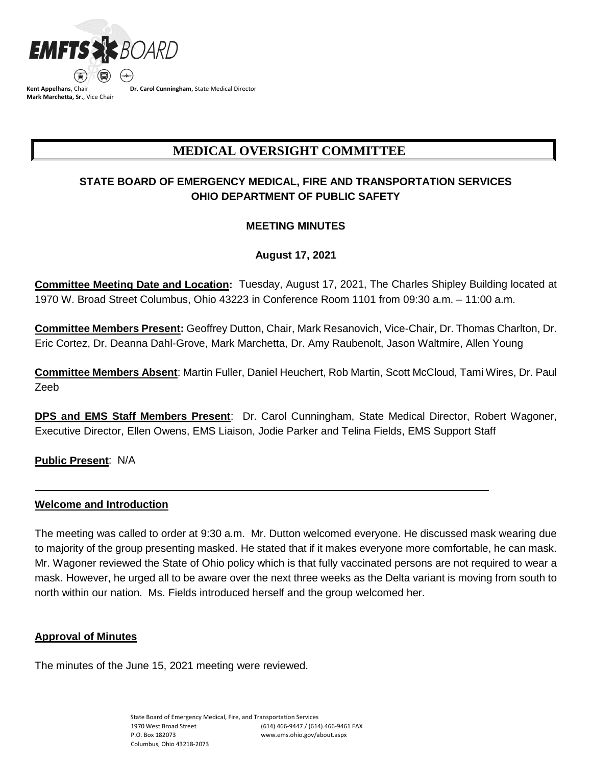

**Kent Appelhans**, Chair **Mark Marchetta, Sr.**, Vice Chair **Dr. Carol Cunningham**, State Medical Director

# **MEDICAL OVERSIGHT COMMITTEE**

## **STATE BOARD OF EMERGENCY MEDICAL, FIRE AND TRANSPORTATION SERVICES OHIO DEPARTMENT OF PUBLIC SAFETY**

## **MEETING MINUTES**

## **August 17, 2021**

**Committee Meeting Date and Location:** Tuesday, August 17, 2021, The Charles Shipley Building located at 1970 W. Broad Street Columbus, Ohio 43223 in Conference Room 1101 from 09:30 a.m. – 11:00 a.m.

**Committee Members Present:** Geoffrey Dutton, Chair, Mark Resanovich, Vice-Chair, Dr. Thomas Charlton, Dr. Eric Cortez, Dr. Deanna Dahl-Grove, Mark Marchetta, Dr. Amy Raubenolt, Jason Waltmire, Allen Young

**Committee Members Absent**: Martin Fuller, Daniel Heuchert, Rob Martin, Scott McCloud, Tami Wires, Dr. Paul Zeeb

**DPS and EMS Staff Members Present**: Dr. Carol Cunningham, State Medical Director, Robert Wagoner, Executive Director, Ellen Owens, EMS Liaison, Jodie Parker and Telina Fields, EMS Support Staff

**Public Present**: N/A

## **Welcome and Introduction**

The meeting was called to order at 9:30 a.m. Mr. Dutton welcomed everyone. He discussed mask wearing due to majority of the group presenting masked. He stated that if it makes everyone more comfortable, he can mask. Mr. Wagoner reviewed the State of Ohio policy which is that fully vaccinated persons are not required to wear a mask. However, he urged all to be aware over the next three weeks as the Delta variant is moving from south to north within our nation. Ms. Fields introduced herself and the group welcomed her.

## **Approval of Minutes**

The minutes of the June 15, 2021 meeting were reviewed.

State Board of Emergency Medical, Fire, and Transportation Services 1970 West Broad Street P.O. Box 182073 Columbus, Ohio 43218-2073 (614) 466-9447 / (614) 466-9461 FAX www.ems.ohio.gov/about.aspx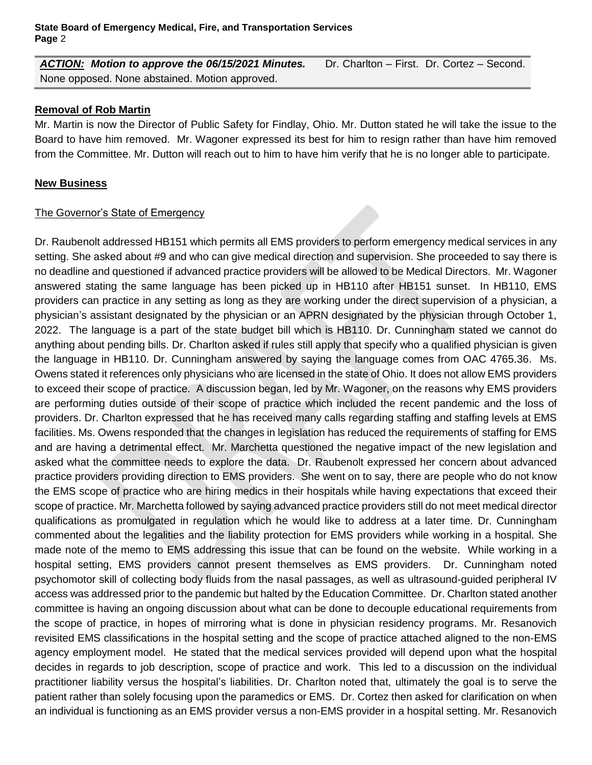*ACTION: Motion to approve the 06/15/2021 Minutes.* Dr. Charlton – First. Dr. Cortez – Second. None opposed. None abstained. Motion approved.

## **Removal of Rob Martin**

Mr. Martin is now the Director of Public Safety for Findlay, Ohio. Mr. Dutton stated he will take the issue to the Board to have him removed. Mr. Wagoner expressed its best for him to resign rather than have him removed from the Committee. Mr. Dutton will reach out to him to have him verify that he is no longer able to participate.

## **New Business**

## The Governor's State of Emergency

Dr. Raubenolt addressed HB151 which permits all EMS providers to perform emergency medical services in any setting. She asked about #9 and who can give medical direction and supervision. She proceeded to say there is no deadline and questioned if advanced practice providers will be allowed to be Medical Directors. Mr. Wagoner answered stating the same language has been picked up in HB110 after HB151 sunset. In HB110, EMS providers can practice in any setting as long as they are working under the direct supervision of a physician, a physician's assistant designated by the physician or an APRN designated by the physician through October 1, 2022. The language is a part of the state budget bill which is HB110. Dr. Cunningham stated we cannot do anything about pending bills. Dr. Charlton asked if rules still apply that specify who a qualified physician is given the language in HB110. Dr. Cunningham answered by saying the language comes from OAC 4765.36. Ms. Owens stated it references only physicians who are licensed in the state of Ohio. It does not allow EMS providers to exceed their scope of practice. A discussion began, led by Mr. Wagoner, on the reasons why EMS providers are performing duties outside of their scope of practice which included the recent pandemic and the loss of providers. Dr. Charlton expressed that he has received many calls regarding staffing and staffing levels at EMS facilities. Ms. Owens responded that the changes in legislation has reduced the requirements of staffing for EMS and are having a detrimental effect. Mr. Marchetta questioned the negative impact of the new legislation and asked what the committee needs to explore the data. Dr. Raubenolt expressed her concern about advanced practice providers providing direction to EMS providers. She went on to say, there are people who do not know the EMS scope of practice who are hiring medics in their hospitals while having expectations that exceed their scope of practice. Mr. Marchetta followed by saying advanced practice providers still do not meet medical director qualifications as promulgated in regulation which he would like to address at a later time. Dr. Cunningham commented about the legalities and the liability protection for EMS providers while working in a hospital. She made note of the memo to EMS addressing this issue that can be found on the website. While working in a hospital setting, EMS providers cannot present themselves as EMS providers. Dr. Cunningham noted psychomotor skill of collecting body fluids from the nasal passages, as well as ultrasound-guided peripheral IV access was addressed prior to the pandemic but halted by the Education Committee. Dr. Charlton stated another committee is having an ongoing discussion about what can be done to decouple educational requirements from the scope of practice, in hopes of mirroring what is done in physician residency programs. Mr. Resanovich revisited EMS classifications in the hospital setting and the scope of practice attached aligned to the non-EMS agency employment model. He stated that the medical services provided will depend upon what the hospital decides in regards to job description, scope of practice and work. This led to a discussion on the individual practitioner liability versus the hospital's liabilities. Dr. Charlton noted that, ultimately the goal is to serve the patient rather than solely focusing upon the paramedics or EMS. Dr. Cortez then asked for clarification on when an individual is functioning as an EMS provider versus a non-EMS provider in a hospital setting. Mr. Resanovich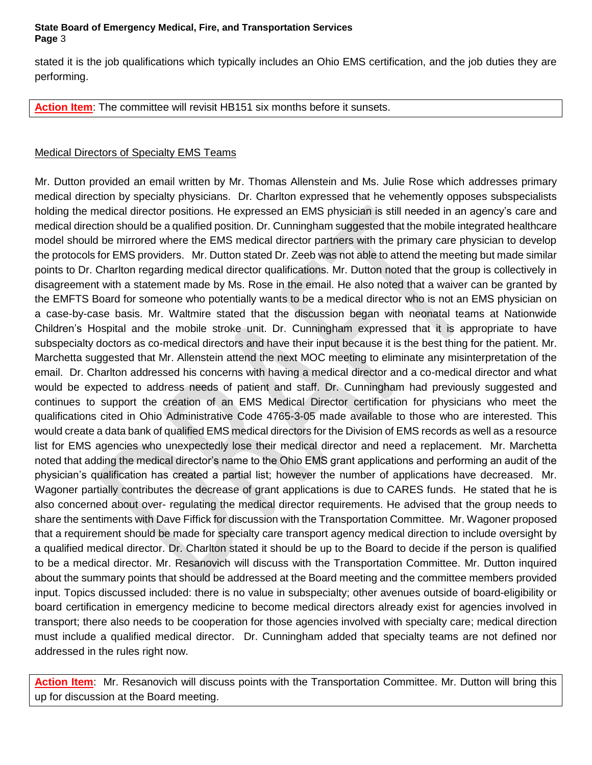#### **State Board of Emergency Medical, Fire, and Transportation Services Page** 3

stated it is the job qualifications which typically includes an Ohio EMS certification, and the job duties they are performing.

**Action Item**: The committee will revisit HB151 six months before it sunsets.

## Medical Directors of Specialty EMS Teams

Mr. Dutton provided an email written by Mr. Thomas Allenstein and Ms. Julie Rose which addresses primary medical direction by specialty physicians. Dr. Charlton expressed that he vehemently opposes subspecialists holding the medical director positions. He expressed an EMS physician is still needed in an agency's care and medical direction should be a qualified position. Dr. Cunningham suggested that the mobile integrated healthcare model should be mirrored where the EMS medical director partners with the primary care physician to develop the protocols for EMS providers. Mr. Dutton stated Dr. Zeeb was not able to attend the meeting but made similar points to Dr. Charlton regarding medical director qualifications. Mr. Dutton noted that the group is collectively in disagreement with a statement made by Ms. Rose in the email. He also noted that a waiver can be granted by the EMFTS Board for someone who potentially wants to be a medical director who is not an EMS physician on a case-by-case basis. Mr. Waltmire stated that the discussion began with neonatal teams at Nationwide Children's Hospital and the mobile stroke unit. Dr. Cunningham expressed that it is appropriate to have subspecialty doctors as co-medical directors and have their input because it is the best thing for the patient. Mr. Marchetta suggested that Mr. Allenstein attend the next MOC meeting to eliminate any misinterpretation of the email. Dr. Charlton addressed his concerns with having a medical director and a co-medical director and what would be expected to address needs of patient and staff. Dr. Cunningham had previously suggested and continues to support the creation of an EMS Medical Director certification for physicians who meet the qualifications cited in Ohio Administrative Code 4765-3-05 made available to those who are interested. This would create a data bank of qualified EMS medical directors for the Division of EMS records as well as a resource list for EMS agencies who unexpectedly lose their medical director and need a replacement. Mr. Marchetta noted that adding the medical director's name to the Ohio EMS grant applications and performing an audit of the physician's qualification has created a partial list; however the number of applications have decreased. Mr. Wagoner partially contributes the decrease of grant applications is due to CARES funds. He stated that he is also concerned about over- regulating the medical director requirements. He advised that the group needs to share the sentiments with Dave Fiffick for discussion with the Transportation Committee. Mr. Wagoner proposed that a requirement should be made for specialty care transport agency medical direction to include oversight by a qualified medical director. Dr. Charlton stated it should be up to the Board to decide if the person is qualified to be a medical director. Mr. Resanovich will discuss with the Transportation Committee. Mr. Dutton inquired about the summary points that should be addressed at the Board meeting and the committee members provided input. Topics discussed included: there is no value in subspecialty; other avenues outside of board-eligibility or board certification in emergency medicine to become medical directors already exist for agencies involved in transport; there also needs to be cooperation for those agencies involved with specialty care; medical direction must include a qualified medical director. Dr. Cunningham added that specialty teams are not defined nor addressed in the rules right now.

**Action Item**: Mr. Resanovich will discuss points with the Transportation Committee. Mr. Dutton will bring this up for discussion at the Board meeting.